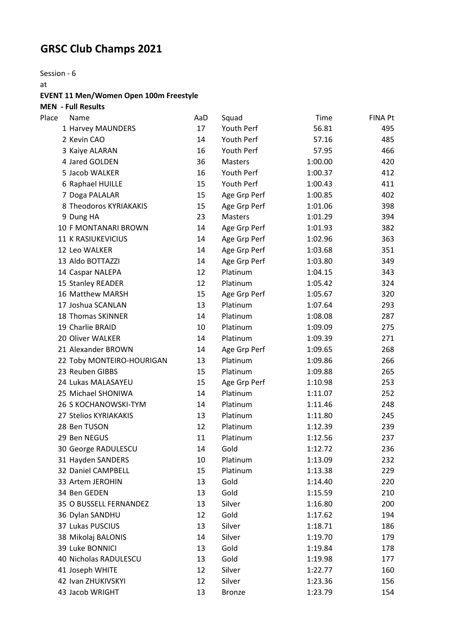# **GRSC Club Champs 2021**

Session - 6

at

### **EVENT 11 Men/Women Open 100m Freestyle**

**MEN - Full Results**

| Place | Name                        | AaD | Squad         | Time    | <b>FINA Pt</b> |
|-------|-----------------------------|-----|---------------|---------|----------------|
|       | 1 Harvey MAUNDERS           | 17  | Youth Perf    | 56.81   | 495            |
|       | 2 Kevin CAO                 | 14  | Youth Perf    | 57.16   | 485            |
|       | 3 Kaiye ALARAN              | 16  | Youth Perf    | 57.95   | 466            |
|       | 4 Jared GOLDEN              | 36  | Masters       | 1:00.00 | 420            |
|       | 5 Jacob WALKER              | 16  | Youth Perf    | 1:00.37 | 412            |
|       | 6 Raphael HUILLE            | 15  | Youth Perf    | 1:00.43 | 411            |
|       | 7 Doga PALALAR              | 15  | Age Grp Perf  | 1:00.85 | 402            |
|       | 8 Theodoros KYRIAKAKIS      | 15  | Age Grp Perf  | 1:01.06 | 398            |
|       | 9 Dung HA                   | 23  | Masters       | 1:01.29 | 394            |
|       | 10 F MONTANARI BROWN        | 14  | Age Grp Perf  | 1:01.93 | 382            |
|       | <b>11 K RASIUKEVICIUS</b>   | 14  | Age Grp Perf  | 1:02.96 | 363            |
|       | 12 Leo WALKER               | 14  | Age Grp Perf  | 1:03.68 | 351            |
|       | 13 Aldo BOTTAZZI            | 14  | Age Grp Perf  | 1:03.80 | 349            |
|       | 14 Caspar NALEPA            | 12  | Platinum      | 1:04.15 | 343            |
|       | 15 Stanley READER           | 12  | Platinum      | 1:05.42 | 324            |
|       | 16 Matthew MARSH            | 15  | Age Grp Perf  | 1:05.67 | 320            |
|       | 17 Joshua SCANLAN           | 13  | Platinum      | 1:07.64 | 293            |
|       | 18 Thomas SKINNER           | 14  | Platinum      | 1:08.08 | 287            |
|       | 19 Charlie BRAID            | 10  | Platinum      | 1:09.09 | 275            |
|       | 20 Oliver WALKER            | 14  | Platinum      | 1:09.39 | 271            |
|       | 21 Alexander BROWN          | 14  | Age Grp Perf  | 1:09.65 | 268            |
|       | 22 Toby MONTEIRO-HOURIGAN   | 13  | Platinum      | 1:09.86 | 266            |
|       | 23 Reuben GIBBS             | 15  | Platinum      | 1:09.88 | 265            |
|       | 24 Lukas MALASAYEU          | 15  | Age Grp Perf  | 1:10.98 | 253            |
|       | 25 Michael SHONIWA          | 14  | Platinum      | 1:11.07 | 252            |
|       | <b>26 S KOCHANOWSKI-TYM</b> | 14  | Platinum      | 1:11.46 | 248            |
|       | 27 Stelios KYRIAKAKIS       | 13  | Platinum      | 1:11.80 | 245            |
|       | 28 Ben TUSON                | 12  | Platinum      | 1:12.39 | 239            |
|       | 29 Ben NEGUS                | 11  | Platinum      | 1:12.56 | 237            |
|       | 30 George RADULESCU         | 14  | Gold          | 1:12.72 | 236            |
|       | 31 Hayden SANDERS           | 10  | Platinum      | 1:13.09 | 232            |
|       | 32 Daniel CAMPBELL          | 15  | Platinum      | 1:13.38 | 229            |
|       | 33 Artem JEROHIN            | 13  | Gold          | 1:14.40 | 220            |
|       | 34 Ben GEDEN                | 13  | Gold          | 1:15.59 | 210            |
|       | 35 O BUSSELL FERNANDEZ      | 13  | Silver        | 1:16.80 | 200            |
|       | 36 Dylan SANDHU             | 12  | Gold          | 1:17.62 | 194            |
|       | 37 Lukas PUSCIUS            | 13  | Silver        | 1:18.71 | 186            |
|       | 38 Mikolaj BALONIS          | 14  | Silver        | 1:19.70 | 179            |
|       | 39 Luke BONNICI             | 13  | Gold          | 1:19.84 | 178            |
|       | 40 Nicholas RADULESCU       | 13  | Gold          | 1:19.98 | 177            |
|       | 41 Joseph WHITE             | 12  | Silver        | 1:22.77 | 160            |
|       | 42 Ivan ZHUKIVSKYI          | 12  | Silver        | 1:23.36 | 156            |
|       | 43 Jacob WRIGHT             | 13  | <b>Bronze</b> | 1:23.79 | 154            |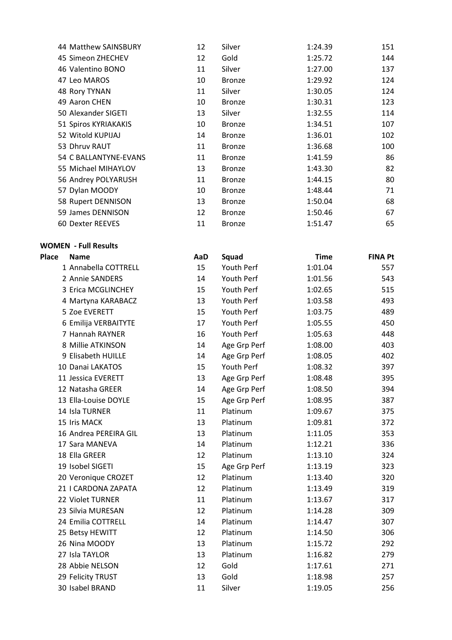| 44 Matthew SAINSBURY  | 12 | Silver        | 1:24.39 | 151 |
|-----------------------|----|---------------|---------|-----|
| 45 Simeon ZHECHEV     | 12 | Gold          | 1:25.72 | 144 |
| 46 Valentino BONO     | 11 | Silver        | 1:27.00 | 137 |
| 47 Leo MAROS          | 10 | <b>Bronze</b> | 1:29.92 | 124 |
| 48 Rory TYNAN         | 11 | Silver        | 1:30.05 | 124 |
| 49 Aaron CHEN         | 10 | <b>Bronze</b> | 1:30.31 | 123 |
| 50 Alexander SIGETI   | 13 | Silver        | 1:32.55 | 114 |
| 51 Spiros KYRIAKAKIS  | 10 | <b>Bronze</b> | 1:34.51 | 107 |
| 52 Witold KUPIJAJ     | 14 | <b>Bronze</b> | 1:36.01 | 102 |
| 53 Dhruv RAUT         | 11 | <b>Bronze</b> | 1:36.68 | 100 |
| 54 C BALLANTYNE-EVANS | 11 | <b>Bronze</b> | 1:41.59 | 86  |
| 55 Michael MIHAYLOV   | 13 | <b>Bronze</b> | 1:43.30 | 82  |
| 56 Andrey POLYARUSH   | 11 | <b>Bronze</b> | 1:44.15 | 80  |
| 57 Dylan MOODY        | 10 | <b>Bronze</b> | 1:48.44 | 71  |
| 58 Rupert DENNISON    | 13 | <b>Bronze</b> | 1:50.04 | 68  |
| 59 James DENNISON     | 12 | <b>Bronze</b> | 1:50.46 | 67  |
| 60 Dexter REEVES      | 11 | <b>Bronze</b> | 1:51.47 | 65  |

#### **WOMEN - Full Results**

| <b>Place</b><br><b>Name</b> | AaD | <b>Squad</b> | <b>Time</b> | <b>FINA Pt</b> |
|-----------------------------|-----|--------------|-------------|----------------|
| 1 Annabella COTTRELL        | 15  | Youth Perf   | 1:01.04     | 557            |
| 2 Annie SANDERS             | 14  | Youth Perf   | 1:01.56     | 543            |
| 3 Erica MCGLINCHEY          | 15  | Youth Perf   | 1:02.65     | 515            |
| 4 Martyna KARABACZ          | 13  | Youth Perf   | 1:03.58     | 493            |
| 5 Zoe EVERETT               | 15  | Youth Perf   | 1:03.75     | 489            |
| 6 Emilija VERBAITYTE        | 17  | Youth Perf   | 1:05.55     | 450            |
| 7 Hannah RAYNER             | 16  | Youth Perf   | 1:05.63     | 448            |
| 8 Millie ATKINSON           | 14  | Age Grp Perf | 1:08.00     | 403            |
| 9 Elisabeth HUILLE          | 14  | Age Grp Perf | 1:08.05     | 402            |
| 10 Danai LAKATOS            | 15  | Youth Perf   | 1:08.32     | 397            |
| 11 Jessica EVERETT          | 13  | Age Grp Perf | 1:08.48     | 395            |
| 12 Natasha GREER            | 14  | Age Grp Perf | 1:08.50     | 394            |
| 13 Ella-Louise DOYLE        | 15  | Age Grp Perf | 1:08.95     | 387            |
| 14 Isla TURNER              | 11  | Platinum     | 1:09.67     | 375            |
| 15 Iris MACK                | 13  | Platinum     | 1:09.81     | 372            |
| 16 Andrea PEREIRA GIL       | 13  | Platinum     | 1:11.05     | 353            |
| 17 Sara MANEVA              | 14  | Platinum     | 1:12.21     | 336            |
| 18 Ella GREER               | 12  | Platinum     | 1:13.10     | 324            |
| 19 Isobel SIGETI            | 15  | Age Grp Perf | 1:13.19     | 323            |
| 20 Veronique CROZET         | 12  | Platinum     | 1:13.40     | 320            |
| 21   CARDONA ZAPATA         | 12  | Platinum     | 1:13.49     | 319            |
| 22 Violet TURNER            | 11  | Platinum     | 1:13.67     | 317            |
| 23 Silvia MURESAN           | 12  | Platinum     | 1:14.28     | 309            |
| 24 Emilia COTTRELL          | 14  | Platinum     | 1:14.47     | 307            |
| 25 Betsy HEWITT             | 12  | Platinum     | 1:14.50     | 306            |
| 26 Nina MOODY               | 13  | Platinum     | 1:15.72     | 292            |
| 27 Isla TAYLOR              | 13  | Platinum     | 1:16.82     | 279            |
| 28 Abbie NELSON             | 12  | Gold         | 1:17.61     | 271            |
| 29 Felicity TRUST           | 13  | Gold         | 1:18.98     | 257            |
| 30 Isabel BRAND             | 11  | Silver       | 1:19.05     | 256            |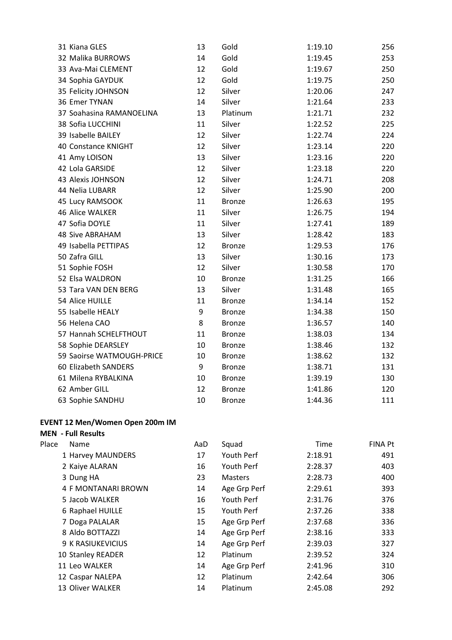| 31 Kiana GLES             | 13 | Gold          | 1:19.10 | 256 |
|---------------------------|----|---------------|---------|-----|
| 32 Malika BURROWS         | 14 | Gold          | 1:19.45 | 253 |
| 33 Ava-Mai CLEMENT        | 12 | Gold          | 1:19.67 | 250 |
| 34 Sophia GAYDUK          | 12 | Gold          | 1:19.75 | 250 |
| 35 Felicity JOHNSON       | 12 | Silver        | 1:20.06 | 247 |
| 36 Emer TYNAN             | 14 | Silver        | 1:21.64 | 233 |
| 37 Soahasina RAMANOELINA  | 13 | Platinum      | 1:21.71 | 232 |
| 38 Sofia LUCCHINI         | 11 | Silver        | 1:22.52 | 225 |
| 39 Isabelle BAILEY        | 12 | Silver        | 1:22.74 | 224 |
| 40 Constance KNIGHT       | 12 | Silver        | 1:23.14 | 220 |
| 41 Amy LOISON             | 13 | Silver        | 1:23.16 | 220 |
| 42 Lola GARSIDE           | 12 | Silver        | 1:23.18 | 220 |
| 43 Alexis JOHNSON         | 12 | Silver        | 1:24.71 | 208 |
| 44 Nelia LUBARR           | 12 | Silver        | 1:25.90 | 200 |
| 45 Lucy RAMSOOK           | 11 | <b>Bronze</b> | 1:26.63 | 195 |
| 46 Alice WALKER           | 11 | Silver        | 1:26.75 | 194 |
| 47 Sofia DOYLE            | 11 | Silver        | 1:27.41 | 189 |
| <b>48 Sive ABRAHAM</b>    | 13 | Silver        | 1:28.42 | 183 |
| 49 Isabella PETTIPAS      | 12 | <b>Bronze</b> | 1:29.53 | 176 |
| 50 Zafra GILL             | 13 | Silver        | 1:30.16 | 173 |
| 51 Sophie FOSH            | 12 | Silver        | 1:30.58 | 170 |
| 52 Elsa WALDRON           | 10 | <b>Bronze</b> | 1:31.25 | 166 |
| 53 Tara VAN DEN BERG      | 13 | Silver        | 1:31.48 | 165 |
| 54 Alice HUILLE           | 11 | <b>Bronze</b> | 1:34.14 | 152 |
| 55 Isabelle HEALY         | 9  | <b>Bronze</b> | 1:34.38 | 150 |
| 56 Helena CAO             | 8  | <b>Bronze</b> | 1:36.57 | 140 |
| 57 Hannah SCHELFTHOUT     | 11 | <b>Bronze</b> | 1:38.03 | 134 |
| 58 Sophie DEARSLEY        | 10 | <b>Bronze</b> | 1:38.46 | 132 |
| 59 Saoirse WATMOUGH-PRICE | 10 | <b>Bronze</b> | 1:38.62 | 132 |
| 60 Elizabeth SANDERS      | 9  | <b>Bronze</b> | 1:38.71 | 131 |
| 61 Milena RYBALKINA       | 10 | <b>Bronze</b> | 1:39.19 | 130 |
| 62 Amber GILL             | 12 | <b>Bronze</b> | 1:41.86 | 120 |
| 63 Sophie SANDHU          | 10 | <b>Bronze</b> | 1:44.36 | 111 |

## **EVENT 12 Men/Women Open 200m IM**

## **MEN - Full Results**

| Place | Name                | AaD | Squad          | Time    | FINA Pt |
|-------|---------------------|-----|----------------|---------|---------|
|       | 1 Harvey MAUNDERS   | 17  | Youth Perf     | 2:18.91 | 491     |
|       | 2 Kaiye ALARAN      | 16  | Youth Perf     | 2:28.37 | 403     |
|       | 3 Dung HA           | 23  | <b>Masters</b> | 2:28.73 | 400     |
|       | 4 F MONTANARI BROWN | 14  | Age Grp Perf   | 2:29.61 | 393     |
|       | 5 Jacob WALKER      | 16  | Youth Perf     | 2:31.76 | 376     |
|       | 6 Raphael HUILLE    | 15  | Youth Perf     | 2:37.26 | 338     |
|       | 7 Doga PALALAR      | 15  | Age Grp Perf   | 2:37.68 | 336     |
|       | 8 Aldo BOTTAZZI     | 14  | Age Grp Perf   | 2:38.16 | 333     |
|       | 9 K RASIUKEVICIUS   | 14  | Age Grp Perf   | 2:39.03 | 327     |
|       | 10 Stanley READER   | 12  | Platinum       | 2:39.52 | 324     |
|       | 11 Leo WALKER       | 14  | Age Grp Perf   | 2:41.96 | 310     |
|       | 12 Caspar NALEPA    | 12  | Platinum       | 2:42.64 | 306     |
|       | 13 Oliver WALKER    | 14  | Platinum       | 2:45.08 | 292     |
|       |                     |     |                |         |         |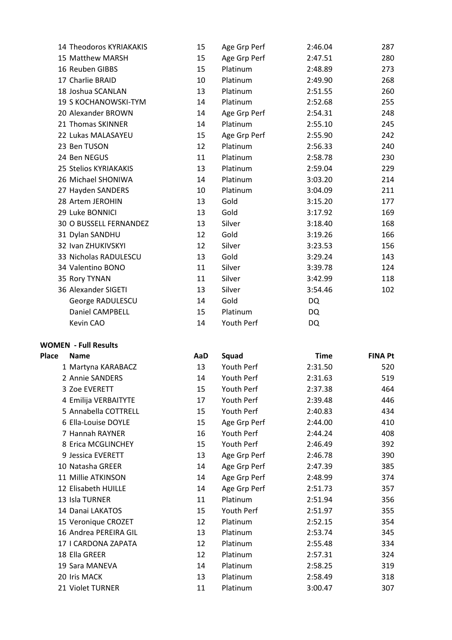| 15 | Age Grp Perf | 2:46.04   | 287 |
|----|--------------|-----------|-----|
| 15 | Age Grp Perf | 2:47.51   | 280 |
| 15 | Platinum     | 2:48.89   | 273 |
| 10 | Platinum     | 2:49.90   | 268 |
| 13 | Platinum     | 2:51.55   | 260 |
| 14 | Platinum     | 2:52.68   | 255 |
| 14 | Age Grp Perf | 2:54.31   | 248 |
| 14 | Platinum     | 2:55.10   | 245 |
| 15 | Age Grp Perf | 2:55.90   | 242 |
| 12 | Platinum     | 2:56.33   | 240 |
| 11 | Platinum     | 2:58.78   | 230 |
| 13 | Platinum     | 2:59.04   | 229 |
| 14 | Platinum     | 3:03.20   | 214 |
| 10 | Platinum     | 3:04.09   | 211 |
| 13 | Gold         | 3:15.20   | 177 |
| 13 | Gold         | 3:17.92   | 169 |
| 13 | Silver       | 3:18.40   | 168 |
| 12 | Gold         | 3:19.26   | 166 |
| 12 | Silver       | 3:23.53   | 156 |
| 13 | Gold         | 3:29.24   | 143 |
| 11 | Silver       | 3:39.78   | 124 |
| 11 | Silver       | 3:42.99   | 118 |
| 13 | Silver       | 3:54.46   | 102 |
| 14 | Gold         | <b>DQ</b> |     |
| 15 | Platinum     | DQ        |     |
| 14 | Youth Perf   | DQ        |     |
|    |              |           |     |

#### **WOMEN - Full Results**

| <b>Name</b>           | AaD | Squad        | <b>Time</b> | <b>FINA Pt</b> |
|-----------------------|-----|--------------|-------------|----------------|
| 1 Martyna KARABACZ    | 13  | Youth Perf   | 2:31.50     | 520            |
| 2 Annie SANDERS       | 14  | Youth Perf   | 2:31.63     | 519            |
| 3 Zoe EVERETT         | 15  | Youth Perf   | 2:37.38     | 464            |
| 4 Emilija VERBAITYTE  | 17  | Youth Perf   | 2:39.48     | 446            |
| 5 Annabella COTTRELL  | 15  | Youth Perf   | 2:40.83     | 434            |
| 6 Ella-Louise DOYLE   | 15  | Age Grp Perf | 2:44.00     | 410            |
| 7 Hannah RAYNER       | 16  | Youth Perf   | 2:44.24     | 408            |
| 8 Erica MCGLINCHEY    | 15  | Youth Perf   | 2:46.49     | 392            |
| 9 Jessica EVERETT     | 13  | Age Grp Perf | 2:46.78     | 390            |
| 10 Natasha GREER      | 14  | Age Grp Perf | 2:47.39     | 385            |
| 11 Millie ATKINSON    | 14  | Age Grp Perf | 2:48.99     | 374            |
| 12 Elisabeth HUILLE   | 14  | Age Grp Perf | 2:51.73     | 357            |
| 13 Isla TURNER        | 11  | Platinum     | 2:51.94     | 356            |
| 14 Danai LAKATOS      | 15  | Youth Perf   | 2:51.97     | 355            |
| 15 Veronique CROZET   | 12  | Platinum     | 2:52.15     | 354            |
| 16 Andrea PEREIRA GIL | 13  | Platinum     | 2:53.74     | 345            |
| 17   CARDONA ZAPATA   | 12  | Platinum     | 2:55.48     | 334            |
| 18 Ella GREER         | 12  | Platinum     | 2:57.31     | 324            |
| 19 Sara MANEVA        | 14  | Platinum     | 2:58.25     | 319            |
| 20 Iris MACK          | 13  | Platinum     | 2:58.49     | 318            |
| 21 Violet TURNER      | 11  | Platinum     | 3:00.47     | 307            |
|                       |     |              |             |                |